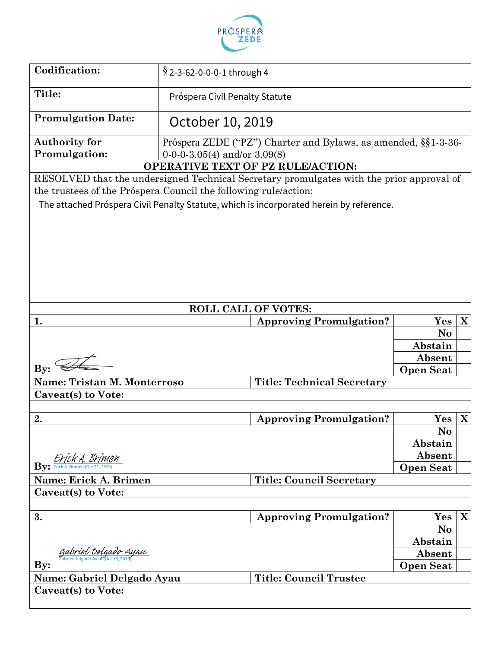

| Codification:                                                   | $\S$ 2-3-62-0-0-0-1 through 4    |                                                                                          |                  |   |
|-----------------------------------------------------------------|----------------------------------|------------------------------------------------------------------------------------------|------------------|---|
| Title:<br>Próspera Civil Penalty Statute                        |                                  |                                                                                          |                  |   |
| <b>Promulgation Date:</b>                                       | October 10, 2019                 |                                                                                          |                  |   |
| <b>Authority for</b>                                            |                                  | Próspera ZEDE ("PZ") Charter and Bylaws, as amended, §§1-3-36-                           |                  |   |
| <b>Promulgation:</b>                                            | $0-0-0-3.05(4)$ and/or $3.09(8)$ |                                                                                          |                  |   |
|                                                                 |                                  | <b>OPERATIVE TEXT OF PZ RULE/ACTION:</b>                                                 |                  |   |
|                                                                 |                                  | RESOLVED that the undersigned Technical Secretary promulgates with the prior approval of |                  |   |
| the trustees of the Próspera Council the following rule/action: |                                  |                                                                                          |                  |   |
|                                                                 |                                  | The attached Próspera Civil Penalty Statute, which is incorporated herein by reference.  |                  |   |
|                                                                 |                                  |                                                                                          |                  |   |
|                                                                 |                                  |                                                                                          |                  |   |
|                                                                 |                                  |                                                                                          |                  |   |
|                                                                 |                                  |                                                                                          |                  |   |
|                                                                 |                                  |                                                                                          |                  |   |
|                                                                 |                                  |                                                                                          |                  |   |
|                                                                 |                                  |                                                                                          |                  |   |
|                                                                 |                                  | <b>ROLL CALL OF VOTES:</b>                                                               |                  |   |
| 1.                                                              |                                  | <b>Approving Promulgation?</b>                                                           | Yes              | X |
|                                                                 |                                  |                                                                                          | No               |   |
|                                                                 |                                  |                                                                                          | Abstain          |   |
|                                                                 |                                  |                                                                                          |                  |   |
| $\mathbf{By:}$                                                  |                                  |                                                                                          | Absent           |   |
|                                                                 |                                  |                                                                                          | <b>Open Seat</b> |   |
| <b>Name: Tristan M. Monterroso</b>                              |                                  | <b>Title: Technical Secretary</b>                                                        |                  |   |
| Caveat(s) to Vote:                                              |                                  |                                                                                          |                  |   |
|                                                                 |                                  |                                                                                          |                  |   |
| 2.                                                              |                                  | <b>Approving Promulgation?</b>                                                           | Yes              | X |
|                                                                 |                                  |                                                                                          | N <sub>o</sub>   |   |
|                                                                 |                                  |                                                                                          | Abstain          |   |
|                                                                 |                                  |                                                                                          | Absent           |   |
| By: EYickA, BYIMEM                                              |                                  |                                                                                          | <b>Open Seat</b> |   |
| Name: Erick A. Brimen                                           |                                  | <b>Title: Council Secretary</b>                                                          |                  |   |
| Caveat(s) to Vote:                                              |                                  |                                                                                          |                  |   |
|                                                                 |                                  |                                                                                          |                  |   |
| 3.                                                              |                                  | <b>Approving Promulgation?</b>                                                           | Yes              | X |
|                                                                 |                                  |                                                                                          | No               |   |
|                                                                 |                                  |                                                                                          | Abstain          |   |
| Gabriel Delgado Ayau                                            |                                  |                                                                                          | Absent           |   |
| $\mathbf{By:}$                                                  |                                  |                                                                                          | <b>Open Seat</b> |   |
| Name: Gabriel Delgado Ayau                                      |                                  | <b>Title: Council Trustee</b>                                                            |                  |   |
| Caveat(s) to Vote:                                              |                                  |                                                                                          |                  |   |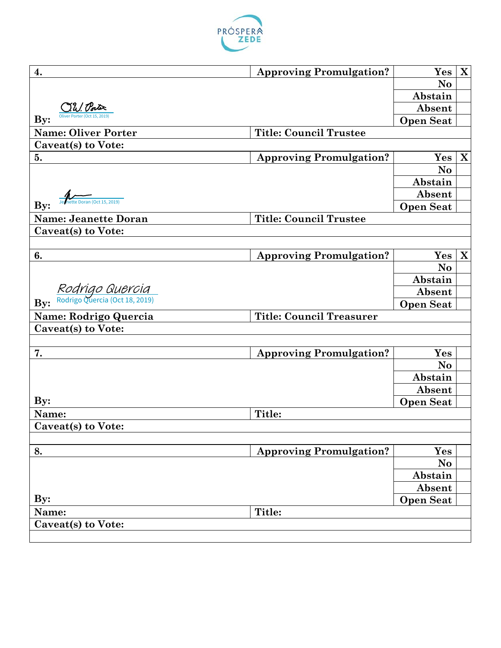

| 4.                                                | <b>Approving Promulgation?</b>  | Yes                        | $\mathbf X$ |
|---------------------------------------------------|---------------------------------|----------------------------|-------------|
|                                                   |                                 | No                         |             |
|                                                   |                                 | Abstain                    |             |
| Oliver Porter (Oct 15, 2019                       |                                 | Absent                     |             |
| $\mathbf{By:}$                                    |                                 | <b>Open Seat</b>           |             |
| <b>Name: Oliver Porter</b>                        | <b>Title: Council Trustee</b>   |                            |             |
| Caveat(s) to Vote:                                |                                 |                            |             |
| 5.                                                | <b>Approving Promulgation?</b>  | Yes                        | $\mathbf X$ |
|                                                   |                                 | No                         |             |
|                                                   |                                 | Abstain                    |             |
|                                                   |                                 | Absent                     |             |
| nette Doran (Oct 15, 2019)<br>$\mathbf{By:}$      |                                 | <b>Open Seat</b>           |             |
| <b>Name: Jeanette Doran</b>                       | <b>Title: Council Trustee</b>   |                            |             |
| Caveat(s) to Vote:                                |                                 |                            |             |
|                                                   |                                 |                            |             |
| 6.                                                | <b>Approving Promulgation?</b>  | Yes                        | X           |
|                                                   |                                 | No                         |             |
|                                                   |                                 | Abstain                    |             |
| Rodrigo Quercia<br>Rodrigo Quercia (Oct 18, 2019) |                                 | Absent                     |             |
| By:                                               |                                 | <b>Open Seat</b>           |             |
| Name: Rodrigo Quercia                             | <b>Title: Council Treasurer</b> |                            |             |
| Caveat(s) to Vote:                                |                                 |                            |             |
|                                                   |                                 |                            |             |
| 7.                                                | <b>Approving Promulgation?</b>  | Yes                        |             |
|                                                   |                                 | N <sub>o</sub>             |             |
|                                                   |                                 | Abstain                    |             |
|                                                   |                                 | Absent                     |             |
| $\mathbf{By:}$                                    |                                 | <b>Open Seat</b>           |             |
| Name:                                             | Title:                          |                            |             |
| Caveat(s) to Vote:                                |                                 |                            |             |
|                                                   |                                 |                            |             |
| 8.                                                | <b>Approving Promulgation?</b>  | Yes                        |             |
|                                                   |                                 | No                         |             |
|                                                   |                                 |                            |             |
|                                                   |                                 |                            |             |
|                                                   |                                 | Abstain                    |             |
| $\mathbf{By:}$                                    |                                 | Absent<br><b>Open Seat</b> |             |
| Name:                                             | Title:                          |                            |             |
| Caveat(s) to Vote:                                |                                 |                            |             |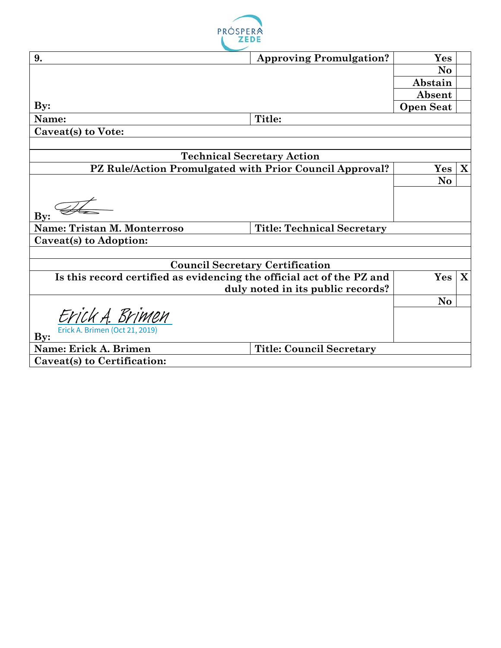

| 9.                                                                    | <b>Approving Promulgation?</b>         | Yes              |              |
|-----------------------------------------------------------------------|----------------------------------------|------------------|--------------|
|                                                                       |                                        | N <sub>o</sub>   |              |
|                                                                       |                                        | Abstain          |              |
|                                                                       |                                        | Absent           |              |
| $\mathbf{By:}$                                                        |                                        | <b>Open Seat</b> |              |
| Name:                                                                 | Title:                                 |                  |              |
| Caveat(s) to Vote:                                                    |                                        |                  |              |
|                                                                       |                                        |                  |              |
|                                                                       | <b>Technical Secretary Action</b>      |                  |              |
| PZ Rule/Action Promulgated with Prior Council Approval?               |                                        | Yes              | $\mathbf{X}$ |
|                                                                       |                                        | No               |              |
|                                                                       |                                        |                  |              |
| $\mathbf{By:}$                                                        |                                        |                  |              |
| <b>Name: Tristan M. Monterroso</b>                                    | <b>Title: Technical Secretary</b>      |                  |              |
| Caveat(s) to Adoption:                                                |                                        |                  |              |
|                                                                       |                                        |                  |              |
|                                                                       | <b>Council Secretary Certification</b> |                  |              |
| Is this record certified as evidencing the official act of the PZ and |                                        | Yes              | $\mathbf{X}$ |
|                                                                       | duly noted in its public records?      |                  |              |
|                                                                       |                                        | N <sub>o</sub>   |              |
| Erick A. Brimen                                                       |                                        |                  |              |
| Erick A. Brimen (Oct 21, 2019)<br>$\mathbf{By:}$                      |                                        |                  |              |
| Name: Erick A. Brimen                                                 | <b>Title: Council Secretary</b>        |                  |              |
| Caveat(s) to Certification:                                           |                                        |                  |              |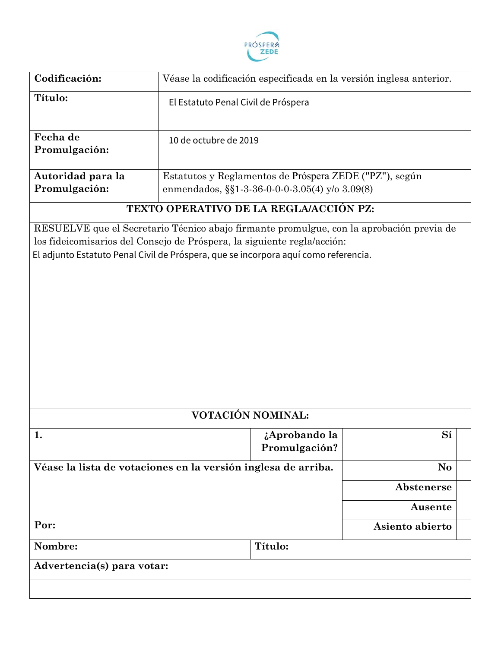

| Codificación:              | Véase la codificación especificada en la versión inglesa anterior.                                                                                             |                 |  |
|----------------------------|----------------------------------------------------------------------------------------------------------------------------------------------------------------|-----------------|--|
| Título:                    | El Estatuto Penal Civil de Próspera                                                                                                                            |                 |  |
| Fecha de<br>Promulgación:  | 10 de octubre de 2019                                                                                                                                          |                 |  |
| Autoridad para la          | Estatutos y Reglamentos de Próspera ZEDE ("PZ"), según                                                                                                         |                 |  |
| Promulgación:              | enmendados, §§1-3-36-0-0-0-3.05(4) y/o 3.09(8)                                                                                                                 |                 |  |
|                            | TEXTO OPERATIVO DE LA REGLA/ACCIÓN PZ:                                                                                                                         |                 |  |
|                            | los fideicomisarios del Consejo de Próspera, la siguiente regla/acción:<br>El adjunto Estatuto Penal Civil de Próspera, que se incorpora aquí como referencia. |                 |  |
|                            | VOTACIÓN NOMINAL:                                                                                                                                              |                 |  |
| 1.                         | ¿Aprobando la<br>Promulgación?                                                                                                                                 | Sí              |  |
|                            | Véase la lista de votaciones en la versión inglesa de arriba.                                                                                                  | No              |  |
|                            |                                                                                                                                                                | Abstenerse      |  |
|                            |                                                                                                                                                                | Ausente         |  |
| Por:                       |                                                                                                                                                                | Asiento abierto |  |
| Nombre:                    | Título:                                                                                                                                                        |                 |  |
| Advertencia(s) para votar: |                                                                                                                                                                |                 |  |
|                            |                                                                                                                                                                |                 |  |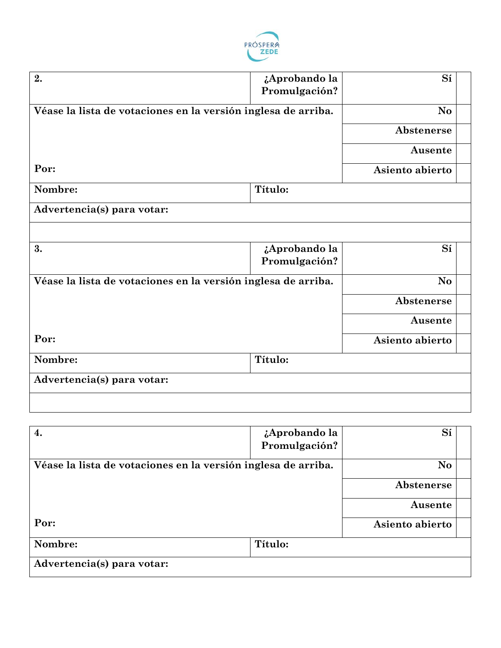

| 2.                                                            | ¿Aprobando la | Sí              |  |
|---------------------------------------------------------------|---------------|-----------------|--|
|                                                               | Promulgación? |                 |  |
|                                                               |               |                 |  |
| Véase la lista de votaciones en la versión inglesa de arriba. |               | No              |  |
|                                                               |               | Abstenerse      |  |
|                                                               |               | Ausente         |  |
| Por:                                                          |               | Asiento abierto |  |
| Nombre:                                                       | Título:       |                 |  |
| Advertencia(s) para votar:                                    |               |                 |  |
|                                                               |               |                 |  |
| 3.                                                            | ¿Aprobando la | Sí              |  |
|                                                               | Promulgación? |                 |  |
| Véase la lista de votaciones en la versión inglesa de arriba. |               | No              |  |
|                                                               |               | Abstenerse      |  |
|                                                               |               | Ausente         |  |
| Por:                                                          |               | Asiento abierto |  |
| Nombre:                                                       | Título:       |                 |  |
| Advertencia(s) para votar:                                    |               |                 |  |
|                                                               |               |                 |  |

| $\boldsymbol{4}$ .                                            | ¿Aprobando la | Sí              |  |
|---------------------------------------------------------------|---------------|-----------------|--|
|                                                               | Promulgación? |                 |  |
| Véase la lista de votaciones en la versión inglesa de arriba. |               | N <sub>o</sub>  |  |
|                                                               |               | Abstenerse      |  |
|                                                               |               | Ausente         |  |
| Por:                                                          |               | Asiento abierto |  |
| Nombre:                                                       | Título:       |                 |  |
| Advertencia(s) para votar:                                    |               |                 |  |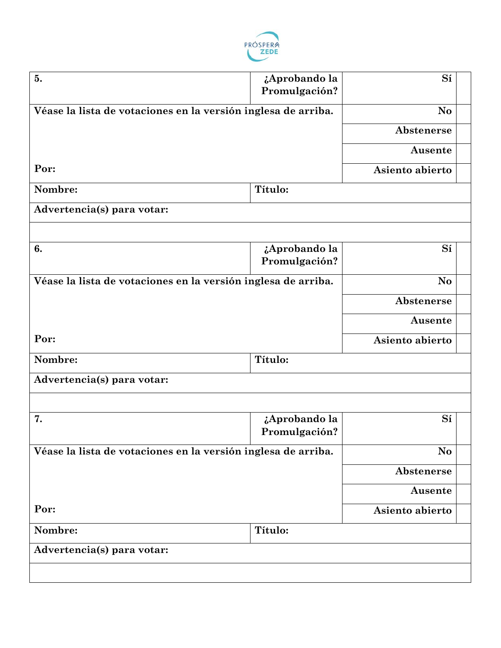

| 5.                                                            | ¿Aprobando la<br>Promulgación? | Sí              |  |
|---------------------------------------------------------------|--------------------------------|-----------------|--|
| Véase la lista de votaciones en la versión inglesa de arriba. |                                | N <sub>o</sub>  |  |
|                                                               |                                | Abstenerse      |  |
|                                                               |                                |                 |  |
|                                                               |                                | Ausente         |  |
| Por:                                                          |                                | Asiento abierto |  |
| Nombre:                                                       | Título:                        |                 |  |
| Advertencia(s) para votar:                                    |                                |                 |  |
|                                                               |                                |                 |  |
| 6.                                                            | ¿Aprobando la                  | Sí              |  |
|                                                               | Promulgación?                  |                 |  |
| Véase la lista de votaciones en la versión inglesa de arriba. |                                | No              |  |
|                                                               |                                | Abstenerse      |  |
|                                                               |                                | Ausente         |  |
| Por:                                                          |                                | Asiento abierto |  |
| Nombre:                                                       | Título:                        |                 |  |
| Advertencia(s) para votar:                                    |                                |                 |  |
|                                                               |                                |                 |  |
| 7.                                                            | ¿Aprobando la                  | Sí              |  |
|                                                               | Promulgación?                  |                 |  |
| Véase la lista de votaciones en la versión inglesa de arriba. |                                | No              |  |
|                                                               |                                | Abstenerse      |  |
|                                                               |                                | Ausente         |  |
| Por:                                                          |                                | Asiento abierto |  |
| Nombre:                                                       | Título:                        |                 |  |
| Advertencia(s) para votar:                                    |                                |                 |  |
|                                                               |                                |                 |  |
|                                                               |                                |                 |  |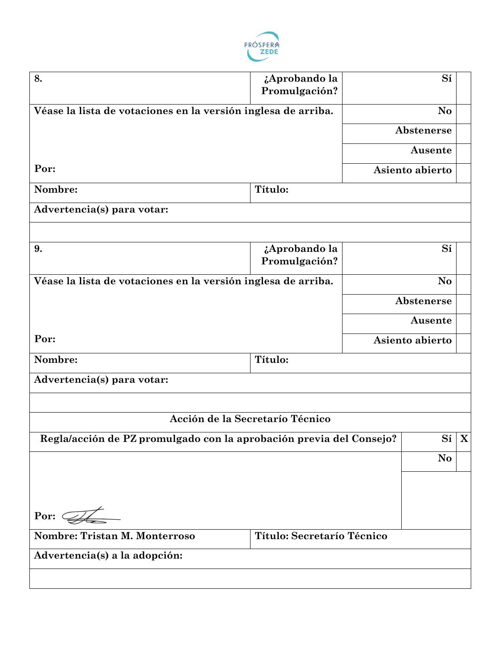

| 8.                                                                  | ¿Aprobando la                   | Sí              |   |
|---------------------------------------------------------------------|---------------------------------|-----------------|---|
|                                                                     | Promulgación?                   |                 |   |
| Véase la lista de votaciones en la versión inglesa de arriba.       |                                 | No              |   |
|                                                                     |                                 | Abstenerse      |   |
|                                                                     |                                 | Ausente         |   |
| Por:                                                                |                                 | Asiento abierto |   |
| Nombre:                                                             | Título:                         |                 |   |
| Advertencia(s) para votar:                                          |                                 |                 |   |
|                                                                     |                                 |                 |   |
| 9.                                                                  | ¿Aprobando la                   | Sí              |   |
|                                                                     | Promulgación?                   |                 |   |
| Véase la lista de votaciones en la versión inglesa de arriba.       |                                 | <b>No</b>       |   |
|                                                                     |                                 | Abstenerse      |   |
|                                                                     |                                 | Ausente         |   |
| Por:                                                                |                                 | Asiento abierto |   |
| Nombre:                                                             | Título:                         |                 |   |
| Advertencia(s) para votar:                                          |                                 |                 |   |
|                                                                     |                                 |                 |   |
|                                                                     | Acción de la Secretarío Técnico |                 |   |
| Regla/acción de PZ promulgado con la aprobación previa del Consejo? |                                 | Sí              | X |
|                                                                     |                                 | No              |   |
|                                                                     |                                 |                 |   |
|                                                                     |                                 |                 |   |
| Por: $\mathcal{I}$                                                  |                                 |                 |   |
| <b>Nombre: Tristan M. Monterroso</b>                                | Título: Secretarío Técnico      |                 |   |
| Advertencia(s) a la adopción:                                       |                                 |                 |   |
|                                                                     |                                 |                 |   |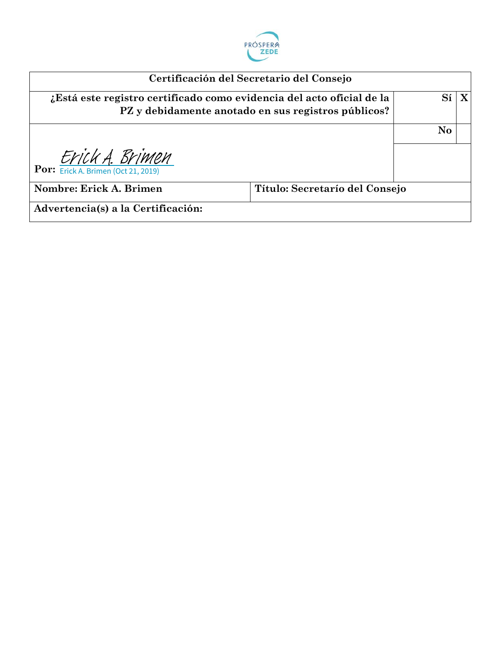

|                                                                       | Certificación del Secretario del Consejo            |          |  |
|-----------------------------------------------------------------------|-----------------------------------------------------|----------|--|
| ¿Está este registro certificado como evidencia del acto oficial de la | PZ y debidamente anotado en sus registros públicos? |          |  |
|                                                                       |                                                     | $\bf No$ |  |
| Por: $ErickA. BriMEM$<br>Por: $ErickA. Brimen (Oct 21, 2019)$         |                                                     |          |  |
| Nombre: Erick A. Brimen                                               | Título: Secretarío del Consejo                      |          |  |
| Advertencia(s) a la Certificación:                                    |                                                     |          |  |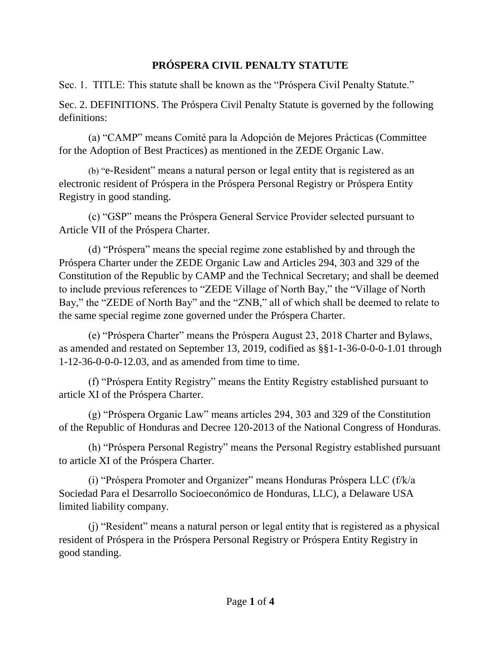## **PRÓSPERA CIVIL PENALTY STATUTE**

Sec. 1. TITLE: This statute shall be known as the "Próspera Civil Penalty Statute."

Sec. 2. DEFINITIONS. The Próspera Civil Penalty Statute is governed by the following definitions:

(a) "CAMP" means Comité para la Adopción de Mejores Prácticas (Committee for the Adoption of Best Practices) as mentioned in the ZEDE Organic Law.

(b) "e-Resident" means a natural person or legal entity that is registered as an electronic resident of Próspera in the Próspera Personal Registry or Próspera Entity Registry in good standing.

(c) "GSP" means the Próspera General Service Provider selected pursuant to Article VII of the Próspera Charter.

(d) "Próspera" means the special regime zone established by and through the Próspera Charter under the ZEDE Organic Law and Articles 294, 303 and 329 of the Constitution of the Republic by CAMP and the Technical Secretary; and shall be deemed to include previous references to "ZEDE Village of North Bay," the "Village of North Bay," the "ZEDE of North Bay" and the "ZNB," all of which shall be deemed to relate to the same special regime zone governed under the Próspera Charter.

(e) "Próspera Charter" means the Próspera August 23, 2018 Charter and Bylaws, as amended and restated on September 13, 2019, codified as §§1-1-36-0-0-0-1.01 through 1-12-36-0-0-0-12.03, and as amended from time to time.

(f) "Próspera Entity Registry" means the Entity Registry established pursuant to article XI of the Próspera Charter.

(g) "Próspera Organic Law" means articles 294, 303 and 329 of the Constitution of the Republic of Honduras and Decree 120-2013 of the National Congress of Honduras.

(h) "Próspera Personal Registry" means the Personal Registry established pursuant to article XI of the Próspera Charter.

(i) "Próspera Promoter and Organizer" means Honduras Próspera LLC (f/k/a Sociedad Para el Desarrollo Socioeconómico de Honduras, LLC), a Delaware USA limited liability company.

(j) "Resident" means a natural person or legal entity that is registered as a physical resident of Próspera in the Próspera Personal Registry or Próspera Entity Registry in good standing.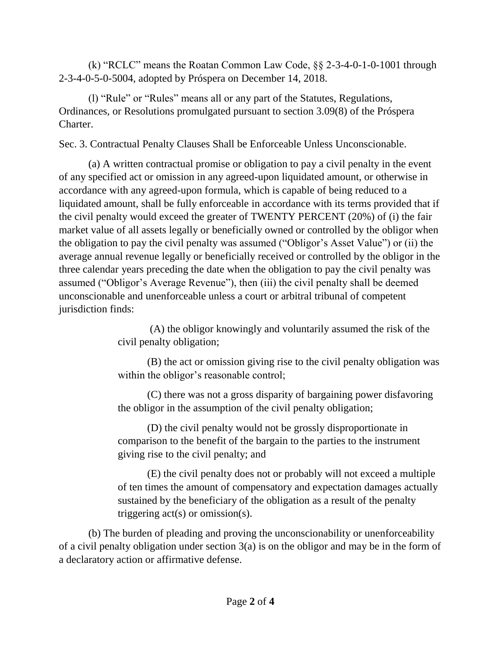(k) "RCLC" means the Roatan Common Law Code, §§ 2-3-4-0-1-0-1001 through 2-3-4-0-5-0-5004, adopted by Próspera on December 14, 2018.

(l) "Rule" or "Rules" means all or any part of the Statutes, Regulations, Ordinances, or Resolutions promulgated pursuant to section 3.09(8) of the Próspera Charter.

Sec. 3. Contractual Penalty Clauses Shall be Enforceable Unless Unconscionable.

(a) A written contractual promise or obligation to pay a civil penalty in the event of any specified act or omission in any agreed-upon liquidated amount, or otherwise in accordance with any agreed-upon formula, which is capable of being reduced to a liquidated amount, shall be fully enforceable in accordance with its terms provided that if the civil penalty would exceed the greater of TWENTY PERCENT (20%) of (i) the fair market value of all assets legally or beneficially owned or controlled by the obligor when the obligation to pay the civil penalty was assumed ("Obligor's Asset Value") or (ii) the average annual revenue legally or beneficially received or controlled by the obligor in the three calendar years preceding the date when the obligation to pay the civil penalty was assumed ("Obligor's Average Revenue"), then (iii) the civil penalty shall be deemed unconscionable and unenforceable unless a court or arbitral tribunal of competent jurisdiction finds:

> (A) the obligor knowingly and voluntarily assumed the risk of the civil penalty obligation;

(B) the act or omission giving rise to the civil penalty obligation was within the obligor's reasonable control;

(C) there was not a gross disparity of bargaining power disfavoring the obligor in the assumption of the civil penalty obligation;

(D) the civil penalty would not be grossly disproportionate in comparison to the benefit of the bargain to the parties to the instrument giving rise to the civil penalty; and

(E) the civil penalty does not or probably will not exceed a multiple of ten times the amount of compensatory and expectation damages actually sustained by the beneficiary of the obligation as a result of the penalty triggering act(s) or omission(s).

(b) The burden of pleading and proving the unconscionability or unenforceability of a civil penalty obligation under section 3(a) is on the obligor and may be in the form of a declaratory action or affirmative defense.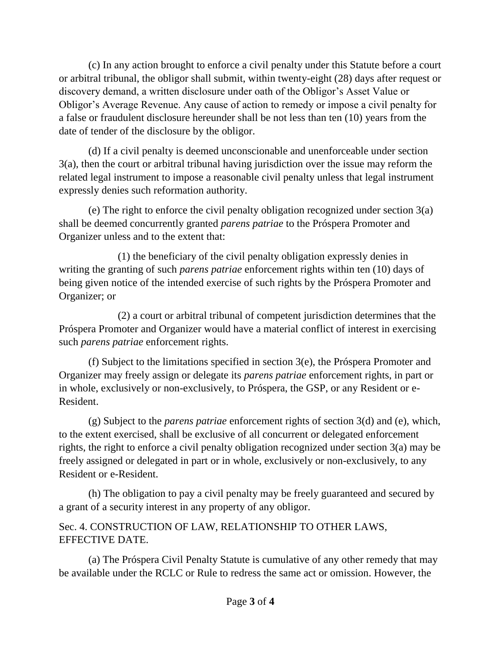(c) In any action brought to enforce a civil penalty under this Statute before a court or arbitral tribunal, the obligor shall submit, within twenty-eight (28) days after request or discovery demand, a written disclosure under oath of the Obligor's Asset Value or Obligor's Average Revenue. Any cause of action to remedy or impose a civil penalty for a false or fraudulent disclosure hereunder shall be not less than ten (10) years from the date of tender of the disclosure by the obligor.

(d) If a civil penalty is deemed unconscionable and unenforceable under section 3(a), then the court or arbitral tribunal having jurisdiction over the issue may reform the related legal instrument to impose a reasonable civil penalty unless that legal instrument expressly denies such reformation authority.

(e) The right to enforce the civil penalty obligation recognized under section 3(a) shall be deemed concurrently granted *parens patriae* to the Próspera Promoter and Organizer unless and to the extent that:

(1) the beneficiary of the civil penalty obligation expressly denies in writing the granting of such *parens patriae* enforcement rights within ten (10) days of being given notice of the intended exercise of such rights by the Próspera Promoter and Organizer; or

(2) a court or arbitral tribunal of competent jurisdiction determines that the Próspera Promoter and Organizer would have a material conflict of interest in exercising such *parens patriae* enforcement rights.

(f) Subject to the limitations specified in section 3(e), the Próspera Promoter and Organizer may freely assign or delegate its *parens patriae* enforcement rights, in part or in whole, exclusively or non-exclusively, to Próspera, the GSP, or any Resident or e-Resident.

(g) Subject to the *parens patriae* enforcement rights of section 3(d) and (e), which, to the extent exercised, shall be exclusive of all concurrent or delegated enforcement rights, the right to enforce a civil penalty obligation recognized under section 3(a) may be freely assigned or delegated in part or in whole, exclusively or non-exclusively, to any Resident or e-Resident.

(h) The obligation to pay a civil penalty may be freely guaranteed and secured by a grant of a security interest in any property of any obligor.

Sec. 4. CONSTRUCTION OF LAW, RELATIONSHIP TO OTHER LAWS, EFFECTIVE DATE.

(a) The Próspera Civil Penalty Statute is cumulative of any other remedy that may be available under the RCLC or Rule to redress the same act or omission. However, the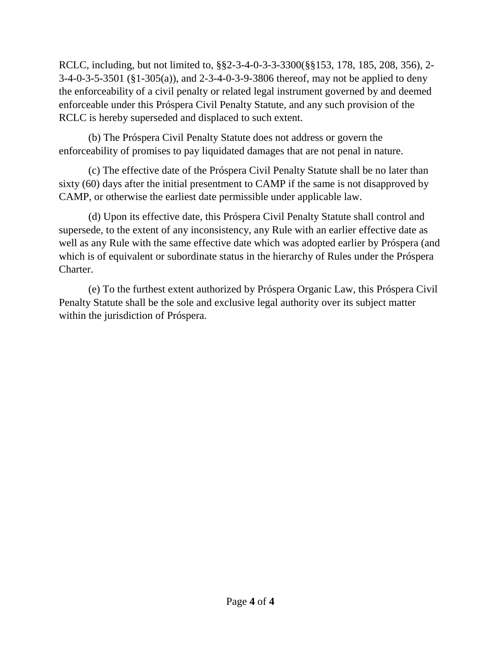RCLC, including, but not limited to, §§2-3-4-0-3-3-3300(§§153, 178, 185, 208, 356), 2- 3-4-0-3-5-3501 (§1-305(a)), and 2-3-4-0-3-9-3806 thereof, may not be applied to deny the enforceability of a civil penalty or related legal instrument governed by and deemed enforceable under this Próspera Civil Penalty Statute, and any such provision of the RCLC is hereby superseded and displaced to such extent.

(b) The Próspera Civil Penalty Statute does not address or govern the enforceability of promises to pay liquidated damages that are not penal in nature.

(c) The effective date of the Próspera Civil Penalty Statute shall be no later than sixty (60) days after the initial presentment to CAMP if the same is not disapproved by CAMP, or otherwise the earliest date permissible under applicable law.

(d) Upon its effective date, this Próspera Civil Penalty Statute shall control and supersede, to the extent of any inconsistency, any Rule with an earlier effective date as well as any Rule with the same effective date which was adopted earlier by Próspera (and which is of equivalent or subordinate status in the hierarchy of Rules under the Próspera Charter.

(e) To the furthest extent authorized by Próspera Organic Law, this Próspera Civil Penalty Statute shall be the sole and exclusive legal authority over its subject matter within the jurisdiction of Próspera.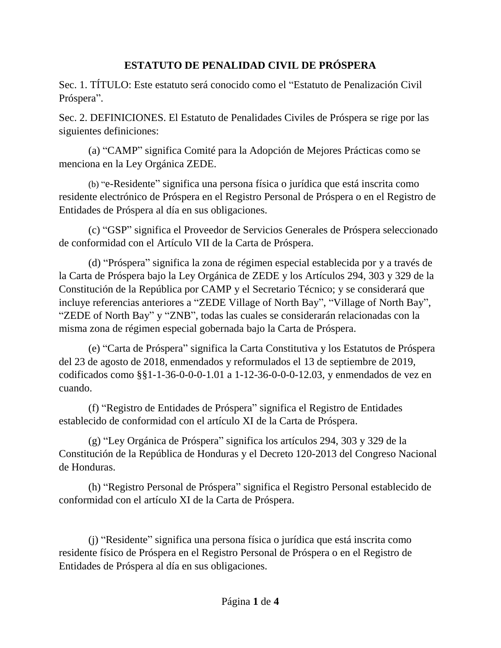## **ESTATUTO DE PENALIDAD CIVIL DE PRÓSPERA**

Sec. 1. TÍTULO: Este estatuto será conocido como el "Estatuto de Penalización Civil Próspera".

Sec. 2. DEFINICIONES. El Estatuto de Penalidades Civiles de Próspera se rige por las siguientes definiciones:

(a) "CAMP" significa Comité para la Adopción de Mejores Prácticas como se menciona en la Ley Orgánica ZEDE.

(b) "e-Residente" significa una persona física o jurídica que está inscrita como residente electrónico de Próspera en el Registro Personal de Próspera o en el Registro de Entidades de Próspera al día en sus obligaciones.

(c) "GSP" significa el Proveedor de Servicios Generales de Próspera seleccionado de conformidad con el Artículo VII de la Carta de Próspera.

(d) "Próspera" significa la zona de régimen especial establecida por y a través de la Carta de Próspera bajo la Ley Orgánica de ZEDE y los Artículos 294, 303 y 329 de la Constitución de la República por CAMP y el Secretario Técnico; y se considerará que incluye referencias anteriores a "ZEDE Village of North Bay", "Village of North Bay", "ZEDE of North Bay" y "ZNB", todas las cuales se considerarán relacionadas con la misma zona de régimen especial gobernada bajo la Carta de Próspera.

(e) "Carta de Próspera" significa la Carta Constitutiva y los Estatutos de Próspera del 23 de agosto de 2018, enmendados y reformulados el 13 de septiembre de 2019, codificados como §§1-1-36-0-0-0-1.01 a 1-12-36-0-0-0-12.03, y enmendados de vez en cuando.

(f) "Registro de Entidades de Próspera" significa el Registro de Entidades establecido de conformidad con el artículo XI de la Carta de Próspera.

(g) "Ley Orgánica de Próspera" significa los artículos 294, 303 y 329 de la Constitución de la República de Honduras y el Decreto 120-2013 del Congreso Nacional de Honduras.

(h) "Registro Personal de Próspera" significa el Registro Personal establecido de conformidad con el artículo XI de la Carta de Próspera.

(j) "Residente" significa una persona física o jurídica que está inscrita como residente físico de Próspera en el Registro Personal de Próspera o en el Registro de Entidades de Próspera al día en sus obligaciones.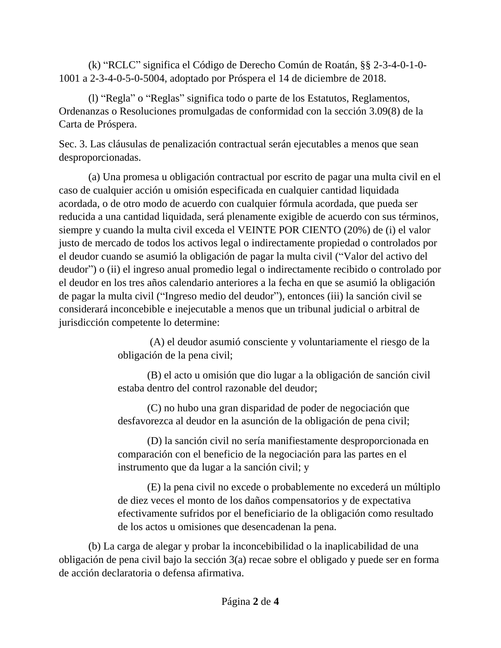(k) "RCLC" significa el Código de Derecho Común de Roatán, §§ 2-3-4-0-1-0- 1001 a 2-3-4-0-5-0-5004, adoptado por Próspera el 14 de diciembre de 2018.

(l) "Regla" o "Reglas" significa todo o parte de los Estatutos, Reglamentos, Ordenanzas o Resoluciones promulgadas de conformidad con la sección 3.09(8) de la Carta de Próspera.

Sec. 3. Las cláusulas de penalización contractual serán ejecutables a menos que sean desproporcionadas.

(a) Una promesa u obligación contractual por escrito de pagar una multa civil en el caso de cualquier acción u omisión especificada en cualquier cantidad liquidada acordada, o de otro modo de acuerdo con cualquier fórmula acordada, que pueda ser reducida a una cantidad liquidada, será plenamente exigible de acuerdo con sus términos, siempre y cuando la multa civil exceda el VEINTE POR CIENTO (20%) de (i) el valor justo de mercado de todos los activos legal o indirectamente propiedad o controlados por el deudor cuando se asumió la obligación de pagar la multa civil ("Valor del activo del deudor") o (ii) el ingreso anual promedio legal o indirectamente recibido o controlado por el deudor en los tres años calendario anteriores a la fecha en que se asumió la obligación de pagar la multa civil ("Ingreso medio del deudor"), entonces (iii) la sanción civil se considerará inconcebible e inejecutable a menos que un tribunal judicial o arbitral de jurisdicción competente lo determine:

> (A) el deudor asumió consciente y voluntariamente el riesgo de la obligación de la pena civil;

> (B) el acto u omisión que dio lugar a la obligación de sanción civil estaba dentro del control razonable del deudor;

(C) no hubo una gran disparidad de poder de negociación que desfavorezca al deudor en la asunción de la obligación de pena civil;

(D) la sanción civil no sería manifiestamente desproporcionada en comparación con el beneficio de la negociación para las partes en el instrumento que da lugar a la sanción civil; y

(E) la pena civil no excede o probablemente no excederá un múltiplo de diez veces el monto de los daños compensatorios y de expectativa efectivamente sufridos por el beneficiario de la obligación como resultado de los actos u omisiones que desencadenan la pena.

(b) La carga de alegar y probar la inconcebibilidad o la inaplicabilidad de una obligación de pena civil bajo la sección 3(a) recae sobre el obligado y puede ser en forma de acción declaratoria o defensa afirmativa.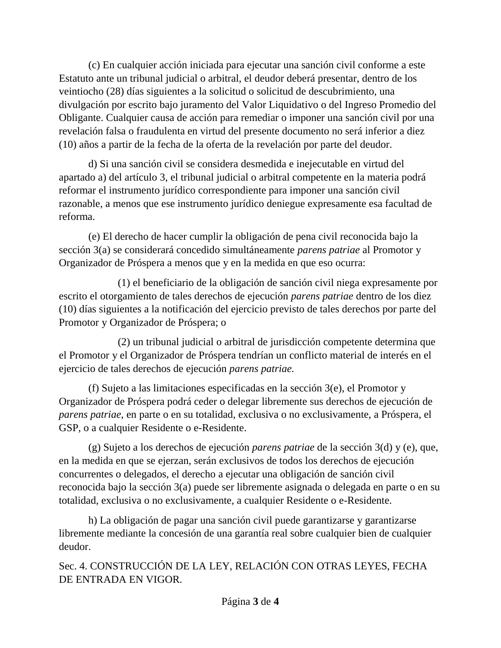(c) En cualquier acción iniciada para ejecutar una sanción civil conforme a este Estatuto ante un tribunal judicial o arbitral, el deudor deberá presentar, dentro de los veintiocho (28) días siguientes a la solicitud o solicitud de descubrimiento, una divulgación por escrito bajo juramento del Valor Liquidativo o del Ingreso Promedio del Obligante. Cualquier causa de acción para remediar o imponer una sanción civil por una revelación falsa o fraudulenta en virtud del presente documento no será inferior a diez (10) años a partir de la fecha de la oferta de la revelación por parte del deudor.

d) Si una sanción civil se considera desmedida e inejecutable en virtud del apartado a) del artículo 3, el tribunal judicial o arbitral competente en la materia podrá reformar el instrumento jurídico correspondiente para imponer una sanción civil razonable, a menos que ese instrumento jurídico deniegue expresamente esa facultad de reforma.

(e) El derecho de hacer cumplir la obligación de pena civil reconocida bajo la sección 3(a) se considerará concedido simultáneamente *parens patriae* al Promotor y Organizador de Próspera a menos que y en la medida en que eso ocurra:

(1) el beneficiario de la obligación de sanción civil niega expresamente por escrito el otorgamiento de tales derechos de ejecución *parens patriae* dentro de los diez (10) días siguientes a la notificación del ejercicio previsto de tales derechos por parte del Promotor y Organizador de Próspera; o

(2) un tribunal judicial o arbitral de jurisdicción competente determina que el Promotor y el Organizador de Próspera tendrían un conflicto material de interés en el ejercicio de tales derechos de ejecución *parens patriae.*

(f) Sujeto a las limitaciones especificadas en la sección 3(e), el Promotor y Organizador de Próspera podrá ceder o delegar libremente sus derechos de ejecución de *parens patriae*, en parte o en su totalidad, exclusiva o no exclusivamente, a Próspera, el GSP, o a cualquier Residente o e-Residente.

(g) Sujeto a los derechos de ejecución *parens patriae* de la sección 3(d) y (e), que, en la medida en que se ejerzan, serán exclusivos de todos los derechos de ejecución concurrentes o delegados, el derecho a ejecutar una obligación de sanción civil reconocida bajo la sección 3(a) puede ser libremente asignada o delegada en parte o en su totalidad, exclusiva o no exclusivamente, a cualquier Residente o e-Residente.

h) La obligación de pagar una sanción civil puede garantizarse y garantizarse libremente mediante la concesión de una garantía real sobre cualquier bien de cualquier deudor.

Sec. 4. CONSTRUCCIÓN DE LA LEY, RELACIÓN CON OTRAS LEYES, FECHA DE ENTRADA EN VIGOR.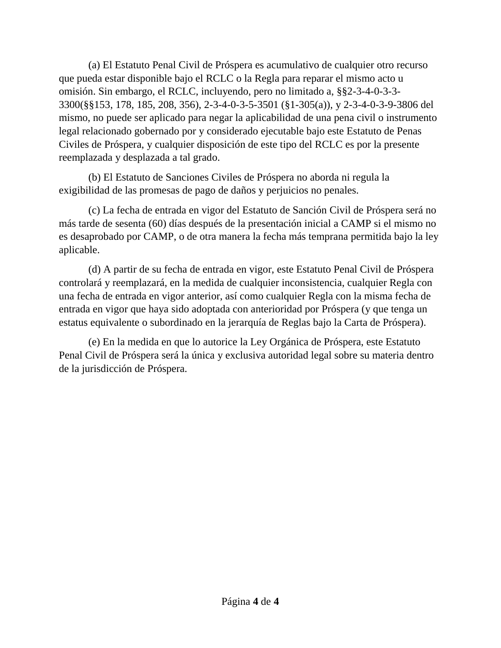(a) El Estatuto Penal Civil de Próspera es acumulativo de cualquier otro recurso que pueda estar disponible bajo el RCLC o la Regla para reparar el mismo acto u omisión. Sin embargo, el RCLC, incluyendo, pero no limitado a, §§2-3-4-0-3-3- 3300(§§153, 178, 185, 208, 356), 2-3-4-0-3-5-3501 (§1-305(a)), y 2-3-4-0-3-9-3806 del mismo, no puede ser aplicado para negar la aplicabilidad de una pena civil o instrumento legal relacionado gobernado por y considerado ejecutable bajo este Estatuto de Penas Civiles de Próspera, y cualquier disposición de este tipo del RCLC es por la presente reemplazada y desplazada a tal grado.

(b) El Estatuto de Sanciones Civiles de Próspera no aborda ni regula la exigibilidad de las promesas de pago de daños y perjuicios no penales.

(c) La fecha de entrada en vigor del Estatuto de Sanción Civil de Próspera será no más tarde de sesenta (60) días después de la presentación inicial a CAMP si el mismo no es desaprobado por CAMP, o de otra manera la fecha más temprana permitida bajo la ley aplicable.

(d) A partir de su fecha de entrada en vigor, este Estatuto Penal Civil de Próspera controlará y reemplazará, en la medida de cualquier inconsistencia, cualquier Regla con una fecha de entrada en vigor anterior, así como cualquier Regla con la misma fecha de entrada en vigor que haya sido adoptada con anterioridad por Próspera (y que tenga un estatus equivalente o subordinado en la jerarquía de Reglas bajo la Carta de Próspera).

(e) En la medida en que lo autorice la Ley Orgánica de Próspera, este Estatuto Penal Civil de Próspera será la única y exclusiva autoridad legal sobre su materia dentro de la jurisdicción de Próspera.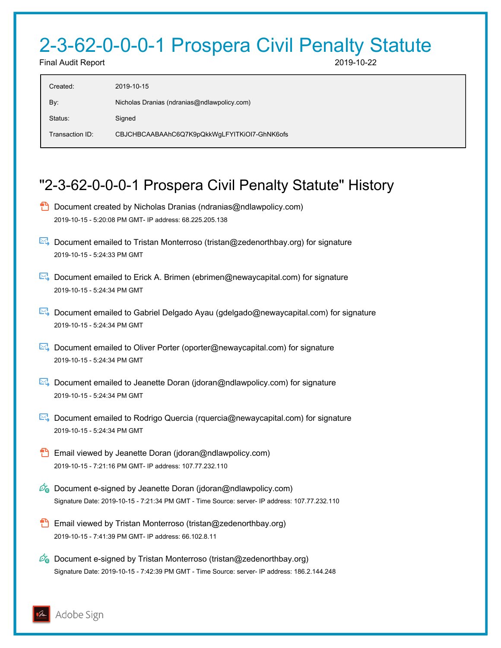## 2-3-62-0-0-0-1 Prospera Civil Penalty Statute

Final Audit Report 2019-10-22

| Created:        | 2019-10-15                                   |
|-----------------|----------------------------------------------|
| By:             | Nicholas Dranias (ndranias@ndlawpolicy.com)  |
| Status:         | Signed                                       |
| Transaction ID: | CBJCHBCAABAAhC6Q7K9pQkkWgLFYITKiOI7-GhNK6ofs |

## "2-3-62-0-0-0-1 Prospera Civil Penalty Statute" History

- **D** Document created by Nicholas Dranias (ndranias@ndlawpolicy.com) 2019-10-15 - 5:20:08 PM GMT- IP address: 68.225.205.138
- Document emailed to Tristan Monterroso (tristan@zedenorthbay.org) for signature 2019-10-15 - 5:24:33 PM GMT
- Document emailed to Erick A. Brimen (ebrimen@newaycapital.com) for signature 2019-10-15 - 5:24:34 PM GMT
- Document emailed to Gabriel Delgado Ayau (gdelgado@newaycapital.com) for signature 2019-10-15 - 5:24:34 PM GMT
- **E**. Document emailed to Oliver Porter (oporter@newaycapital.com) for signature 2019-10-15 - 5:24:34 PM GMT
- **E**. Document emailed to Jeanette Doran (jdoran@ndlawpolicy.com) for signature 2019-10-15 - 5:24:34 PM GMT
- Document emailed to Rodrigo Quercia (rquercia@newaycapital.com) for signature 2019-10-15 - 5:24:34 PM GMT
- **Email viewed by Jeanette Doran (jdoran@ndlawpolicy.com)** 2019-10-15 - 7:21:16 PM GMT- IP address: 107.77.232.110
- $\mathscr{O}_0$  Document e-signed by Jeanette Doran (jdoran@ndlawpolicy.com) Signature Date: 2019-10-15 - 7:21:34 PM GMT - Time Source: server- IP address: 107.77.232.110
- **Email viewed by Tristan Monterroso (tristan@zedenorthbay.org)** 2019-10-15 - 7:41:39 PM GMT- IP address: 66.102.8.11
- $\mathcal{O}_0$  Document e-signed by Tristan Monterroso (tristan@zedenorthbay.org) Signature Date: 2019-10-15 - 7:42:39 PM GMT - Time Source: server- IP address: 186.2.144.248